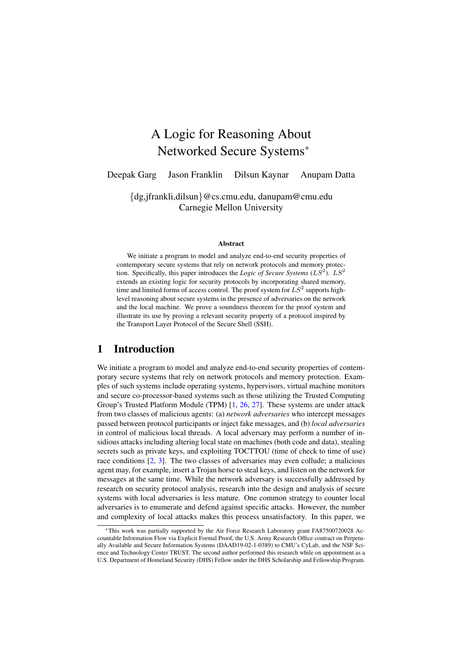# A Logic for Reasoning About Networked Secure Systems<sup>∗</sup>

Deepak Garg Jason Franklin Dilsun Kaynar Anupam Datta

{dg,jfrankli,dilsun}@cs.cmu.edu, danupam@cmu.edu Carnegie Mellon University

#### **Abstract**

We initiate a program to model and analyze end-to-end security properties of contemporary secure systems that rely on network protocols and memory protection. Specifically, this paper introduces the *Logic of Secure Systems*  $(LS<sup>2</sup>)$ .  $LS<sup>2</sup>$ extends an existing logic for security protocols by incorporating shared memory, time and limited forms of access control. The proof system for  $LS^2$  supports highlevel reasoning about secure systems in the presence of adversaries on the network and the local machine. We prove a soundness theorem for the proof system and illustrate its use by proving a relevant security property of a protocol inspired by the Transport Layer Protocol of the Secure Shell (SSH).

# 1 Introduction

We initiate a program to model and analyze end-to-end security properties of contemporary secure systems that rely on network protocols and memory protection. Examples of such systems include operating systems, hypervisors, virtual machine monitors and secure co-processor-based systems such as those utilizing the Trusted Computing Group's Trusted Platform Module (TPM) [\[1,](#page-15-0) [26,](#page-16-0) [27\]](#page-16-1). These systems are under attack from two classes of malicious agents: (a) *network adversaries* who intercept messages passed between protocol participants or inject fake messages, and (b) *local adversaries* in control of malicious local threads. A local adversary may perform a number of insidious attacks including altering local state on machines (both code and data), stealing secrets such as private keys, and exploiting TOCTTOU (time of check to time of use) race conditions [\[2,](#page-15-1) [3\]](#page-15-2). The two classes of adversaries may even collude; a malicious agent may, for example, insert a Trojan horse to steal keys, and listen on the network for messages at the same time. While the network adversary is successfully addressed by research on security protocol analysis, research into the design and analysis of secure systems with local adversaries is less mature. One common strategy to counter local adversaries is to enumerate and defend against specific attacks. However, the number and complexity of local attacks makes this process unsatisfactory. In this paper, we

<sup>∗</sup>This work was partially supported by the Air Force Research Laboratory grant FA87500720028 Accountable Information Flow via Explicit Formal Proof, the U.S. Army Research Office contract on Perpetually Available and Secure Information Systems (DAAD19-02-1-0389) to CMU's CyLab, and the NSF Science and Technology Center TRUST. The second author performed this research while on appointment as a U.S. Department of Homeland Security (DHS) Fellow under the DHS Scholarship and Fellowship Program.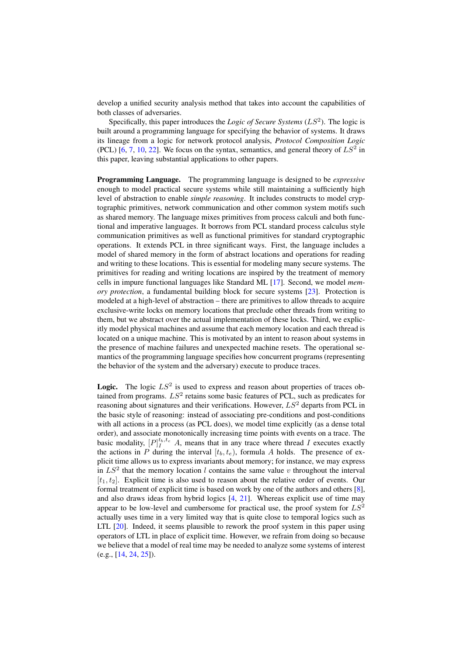develop a unified security analysis method that takes into account the capabilities of both classes of adversaries.

Specifically, this paper introduces the *Logic of Secure Systems*  $(LS<sup>2</sup>)$ . The logic is built around a programming language for specifying the behavior of systems. It draws its lineage from a logic for network protocol analysis, *Protocol Composition Logic* (PCL) [\[6,](#page-15-3) [7,](#page-15-4) [10,](#page-15-5) [22\]](#page-16-2). We focus on the syntax, semantics, and general theory of  $LS^2$  in this paper, leaving substantial applications to other papers.

Programming Language. The programming language is designed to be *expressive* enough to model practical secure systems while still maintaining a sufficiently high level of abstraction to enable *simple reasoning*. It includes constructs to model cryptographic primitives, network communication and other common system motifs such as shared memory. The language mixes primitives from process calculi and both functional and imperative languages. It borrows from PCL standard process calculus style communication primitives as well as functional primitives for standard cryptographic operations. It extends PCL in three significant ways. First, the language includes a model of shared memory in the form of abstract locations and operations for reading and writing to these locations. This is essential for modeling many secure systems. The primitives for reading and writing locations are inspired by the treatment of memory cells in impure functional languages like Standard ML [\[17\]](#page-16-3). Second, we model *memory protection*, a fundamental building block for secure systems [\[23\]](#page-16-4). Protection is modeled at a high-level of abstraction – there are primitives to allow threads to acquire exclusive-write locks on memory locations that preclude other threads from writing to them, but we abstract over the actual implementation of these locks. Third, we explicitly model physical machines and assume that each memory location and each thread is located on a unique machine. This is motivated by an intent to reason about systems in the presence of machine failures and unexpected machine resets. The operational semantics of the programming language specifies how concurrent programs (representing the behavior of the system and the adversary) execute to produce traces.

**Logic.** The logic  $LS^2$  is used to express and reason about properties of traces obtained from programs.  $LS^2$  retains some basic features of PCL, such as predicates for reasoning about signatures and their verifications. However,  $LS^2$  departs from PCL in the basic style of reasoning: instead of associating pre-conditions and post-conditions with all actions in a process (as PCL does), we model time explicitly (as a dense total order), and associate monotonically increasing time points with events on a trace. The basic modality,  $[P]_I^{t_b,t_e}$  A, means that in any trace where thread I executes exactly the actions in P during the interval  $[t_b, t_e)$ , formula A holds. The presence of explicit time allows us to express invariants about memory; for instance, we may express in  $LS^2$  that the memory location l contains the same value v throughout the interval  $[t_1, t_2]$ . Explicit time is also used to reason about the relative order of events. Our formal treatment of explicit time is based on work by one of the authors and others  $[8]$ , and also draws ideas from hybrid logics [\[4,](#page-15-7) [21\]](#page-16-5). Whereas explicit use of time may appear to be low-level and cumbersome for practical use, the proof system for  $LS^2$ actually uses time in a very limited way that is quite close to temporal logics such as LTL [\[20\]](#page-16-6). Indeed, it seems plausible to rework the proof system in this paper using operators of LTL in place of explicit time. However, we refrain from doing so because we believe that a model of real time may be needed to analyze some systems of interest (e.g., [\[14,](#page-16-7) [24,](#page-16-8) [25\]](#page-16-9)).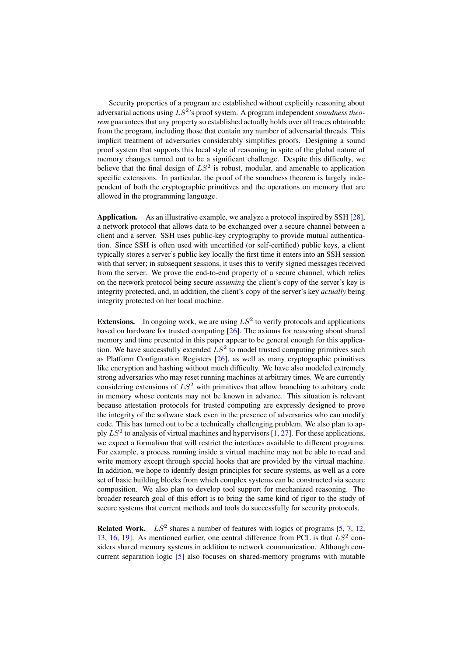Security properties of a program are established without explicitly reasoning about adversarial actions using  $LS^2$ 's proof system. A program independent *soundness theorem* guarantees that any property so established actually holds over all traces obtainable from the program, including those that contain any number of adversarial threads. This implicit treatment of adversaries considerably simplifies proofs. Designing a sound proof system that supports this local style of reasoning in spite of the global nature of memory changes turned out to be a significant challenge. Despite this difficulty, we believe that the final design of  $LS^2$  is robust, modular, and amenable to application specific extensions. In particular, the proof of the soundness theorem is largely independent of both the cryptographic primitives and the operations on memory that are allowed in the programming language.

Application. As an illustrative example, we analyze a protocol inspired by SSH [\[28\]](#page-16-10), a network protocol that allows data to be exchanged over a secure channel between a client and a server. SSH uses public-key cryptography to provide mutual authentication. Since SSH is often used with uncertified (or self-certified) public keys, a client typically stores a server's public key locally the first time it enters into an SSH session with that server; in subsequent sessions, it uses this to verify signed messages received from the server. We prove the end-to-end property of a secure channel, which relies on the network protocol being secure *assuming* the client's copy of the server's key is integrity protected, and, in addition, the client's copy of the server's key *actually* being integrity protected on her local machine.

**Extensions.** In ongoing work, we are using  $LS^2$  to verify protocols and applications based on hardware for trusted computing [\[26\]](#page-16-0). The axioms for reasoning about shared memory and time presented in this paper appear to be general enough for this application. We have successfully extended  $LS<sup>2</sup>$  to model trusted computing primitives such as Platform Configuration Registers [\[26\]](#page-16-0), as well as many cryptographic primitives like encryption and hashing without much difficulty. We have also modeled extremely strong adversaries who may reset running machines at arbitrary times. We are currently considering extensions of  $LS^2$  with primitives that allow branching to arbitrary code in memory whose contents may not be known in advance. This situation is relevant because attestation protocols for trusted computing are expressly designed to prove the integrity of the software stack even in the presence of adversaries who can modify code. This has turned out to be a technically challenging problem. We also plan to apply  $LS^2$  to analysis of virtual machines and hypervisors  $[1, 27]$  $[1, 27]$  $[1, 27]$ . For these applications, we expect a formalism that will restrict the interfaces available to different programs. For example, a process running inside a virtual machine may not be able to read and write memory except through special hooks that are provided by the virtual machine. In addition, we hope to identify design principles for secure systems, as well as a core set of basic building blocks from which complex systems can be constructed via secure composition. We also plan to develop tool support for mechanized reasoning. The broader research goal of this effort is to bring the same kind of rigor to the study of secure systems that current methods and tools do successfully for security protocols.

**Related Work.**  $LS^2$  shares a number of features with logics of programs  $[5, 7, 12,$  $[5, 7, 12,$  $[5, 7, 12,$  $[5, 7, 12,$  $[5, 7, 12,$ [13,](#page-15-10) [16,](#page-16-11) [19\]](#page-16-12). As mentioned earlier, one central difference from PCL is that  $LS^2$  considers shared memory systems in addition to network communication. Although concurrent separation logic [\[5\]](#page-15-8) also focuses on shared-memory programs with mutable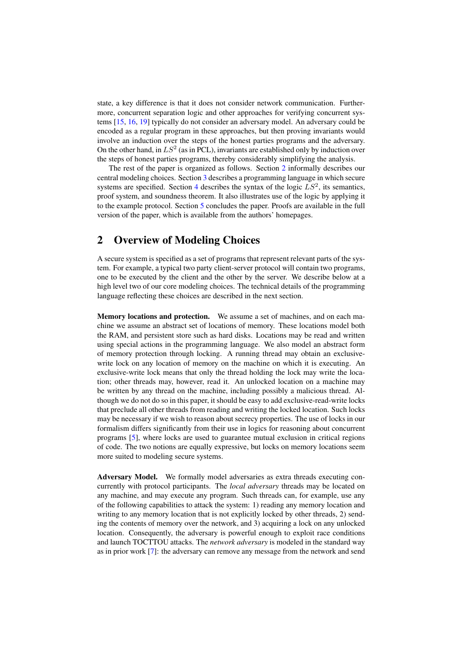state, a key difference is that it does not consider network communication. Furthermore, concurrent separation logic and other approaches for verifying concurrent systems [\[15,](#page-16-13) [16,](#page-16-11) [19\]](#page-16-12) typically do not consider an adversary model. An adversary could be encoded as a regular program in these approaches, but then proving invariants would involve an induction over the steps of the honest parties programs and the adversary. On the other hand, in  $LS^2$  (as in PCL), invariants are established only by induction over the steps of honest parties programs, thereby considerably simplifying the analysis.

The rest of the paper is organized as follows. Section [2](#page-3-0) informally describes our central modeling choices. Section [3](#page-4-0) describes a programming language in which secure systems are specified. Section [4](#page-7-0) describes the syntax of the logic  $LS^2$ , its semantics, proof system, and soundness theorem. It also illustrates use of the logic by applying it to the example protocol. Section [5](#page-14-0) concludes the paper. Proofs are available in the full version of the paper, which is available from the authors' homepages.

# <span id="page-3-0"></span>2 Overview of Modeling Choices

A secure system is specified as a set of programs that represent relevant parts of the system. For example, a typical two party client-server protocol will contain two programs, one to be executed by the client and the other by the server. We describe below at a high level two of our core modeling choices. The technical details of the programming language reflecting these choices are described in the next section.

Memory locations and protection. We assume a set of machines, and on each machine we assume an abstract set of locations of memory. These locations model both the RAM, and persistent store such as hard disks. Locations may be read and written using special actions in the programming language. We also model an abstract form of memory protection through locking. A running thread may obtain an exclusivewrite lock on any location of memory on the machine on which it is executing. An exclusive-write lock means that only the thread holding the lock may write the location; other threads may, however, read it. An unlocked location on a machine may be written by any thread on the machine, including possibly a malicious thread. Although we do not do so in this paper, it should be easy to add exclusive-read-write locks that preclude all other threads from reading and writing the locked location. Such locks may be necessary if we wish to reason about secrecy properties. The use of locks in our formalism differs significantly from their use in logics for reasoning about concurrent programs [\[5\]](#page-15-8), where locks are used to guarantee mutual exclusion in critical regions of code. The two notions are equally expressive, but locks on memory locations seem more suited to modeling secure systems.

Adversary Model. We formally model adversaries as extra threads executing concurrently with protocol participants. The *local adversary* threads may be located on any machine, and may execute any program. Such threads can, for example, use any of the following capabilities to attack the system: 1) reading any memory location and writing to any memory location that is not explicitly locked by other threads, 2) sending the contents of memory over the network, and 3) acquiring a lock on any unlocked location. Consequently, the adversary is powerful enough to exploit race conditions and launch TOCTTOU attacks. The *network adversary* is modeled in the standard way as in prior work [\[7\]](#page-15-4): the adversary can remove any message from the network and send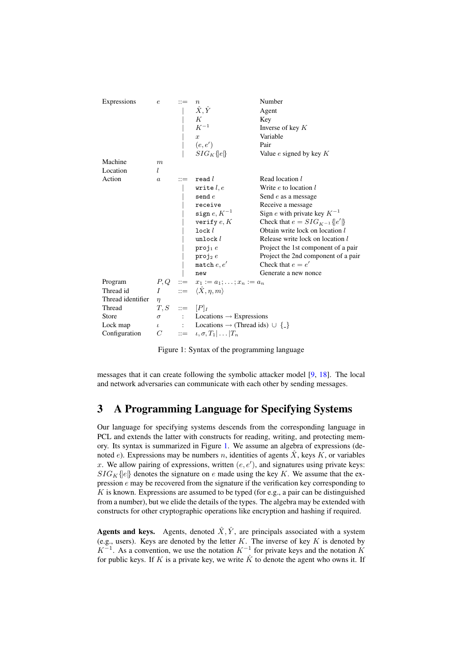| Expressions       | $\boldsymbol{e}$   | $\it{n}$<br>$\hat{X}, \hat{Y}$<br>$\cal K$<br>${\cal K}^{-1}$<br>$\boldsymbol{x}$<br>(e,e') | Number<br>Agent<br>Key<br>Inverse of key $K$<br>Variable<br>Pair |  |  |
|-------------------|--------------------|---------------------------------------------------------------------------------------------|------------------------------------------------------------------|--|--|
|                   |                    | $SIG_K\{e\}$                                                                                | Value $e$ signed by key $K$                                      |  |  |
| Machine           | $\boldsymbol{m}$   |                                                                                             |                                                                  |  |  |
| Location          | L                  |                                                                                             |                                                                  |  |  |
| Action            | $\boldsymbol{a}$   | real l                                                                                      | Read location l                                                  |  |  |
|                   |                    | write $l, e$                                                                                | Write $e$ to location $l$                                        |  |  |
|                   |                    | $\texttt{send} \, e$                                                                        | Send $e$ as a message                                            |  |  |
|                   |                    | receive                                                                                     | Receive a message                                                |  |  |
|                   |                    | sign $e, K^{-1}$                                                                            | Sign e with private key $K^{-1}$                                 |  |  |
|                   |                    | verify $e, K$                                                                               | Check that $e = SIG_{K^{-1}}\{e'\}$                              |  |  |
|                   |                    | $\mathtt{lock}\,l$                                                                          | Obtain write lock on location l                                  |  |  |
|                   |                    | unlock $l$                                                                                  | Release write lock on location l                                 |  |  |
|                   |                    | $proj_1 e$                                                                                  | Project the 1st component of a pair                              |  |  |
|                   |                    | $proj_2 e$                                                                                  | Project the 2nd component of a pair                              |  |  |
|                   |                    | match $e, e'$                                                                               | Check that $e = e'$                                              |  |  |
|                   |                    | new                                                                                         | Generate a new nonce                                             |  |  |
| Program           |                    | $P, Q$ ::= $x_1 := a_1; \dots; x_n := a_n$<br>$I$ ::= $\langle \hat{X}, \eta, m \rangle$    |                                                                  |  |  |
| Thread id         |                    |                                                                                             |                                                                  |  |  |
| Thread identifier | $\eta$             |                                                                                             |                                                                  |  |  |
| Thread            | $T, S$ ::= $[P]_I$ |                                                                                             |                                                                  |  |  |
| Store             |                    | $\sigma$ : Locations $\rightarrow$ Expressions                                              |                                                                  |  |  |
| Lock map          |                    | $\iota$ : Locations $\rightarrow$ (Thread ids) $\cup$ {-}                                   |                                                                  |  |  |
| Configuration     |                    | $C$ ::= $\iota, \sigma, T_1   \dots   T_n$                                                  |                                                                  |  |  |

<span id="page-4-1"></span>Figure 1: Syntax of the programming language

messages that it can create following the symbolic attacker model [\[9,](#page-15-11) [18\]](#page-16-14). The local and network adversaries can communicate with each other by sending messages.

# <span id="page-4-0"></span>3 A Programming Language for Specifying Systems

Our language for specifying systems descends from the corresponding language in PCL and extends the latter with constructs for reading, writing, and protecting memory. Its syntax is summarized in Figure [1.](#page-4-1) We assume an algebra of expressions (denoted e). Expressions may be numbers n, identities of agents  $\hat{X}$ , keys K, or variables x. We allow pairing of expressions, written  $(e, e')$ , and signatures using private keys:  $SIG_K\{e\}$  denotes the signature on e made using the key K. We assume that the expression e may be recovered from the signature if the verification key corresponding to  $K$  is known. Expressions are assumed to be typed (for e.g., a pair can be distinguished from a number), but we elide the details of the types. The algebra may be extended with constructs for other cryptographic operations like encryption and hashing if required.

Agents and keys. Agents, denoted  $\hat{X}, \hat{Y}$ , are principals associated with a system (e.g., users). Keys are denoted by the letter  $K$ . The inverse of key  $K$  is denoted by  $K^{-1}$ . As a convention, we use the notation  $K^{-1}$  for private keys and the notation K for public keys. If K is a private key, we write  $\hat{K}$  to denote the agent who owns it. If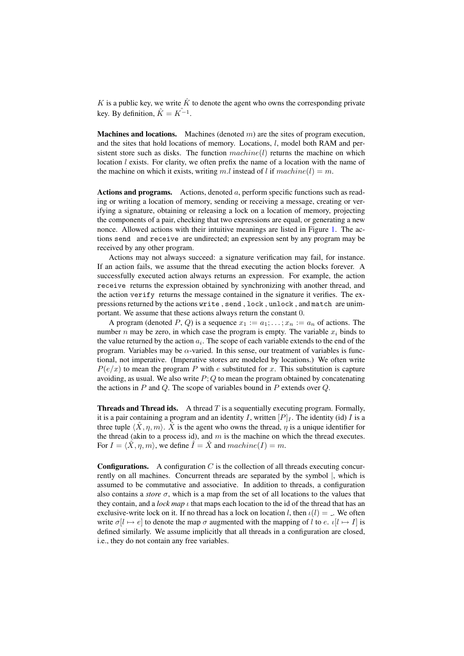K is a public key, we write  $\hat{K}$  to denote the agent who owns the corresponding private key. By definition,  $\hat{K} = K^{-1}$ .

**Machines and locations.** Machines (denoted  $m$ ) are the sites of program execution, and the sites that hold locations of memory. Locations,  $l$ , model both RAM and persistent store such as disks. The function  $machine(l)$  returns the machine on which location  $l$  exists. For clarity, we often prefix the name of a location with the name of the machine on which it exists, writing m.l instead of l if  $machine(l) = m$ .

Actions and programs. Actions, denoted  $a$ , perform specific functions such as reading or writing a location of memory, sending or receiving a message, creating or verifying a signature, obtaining or releasing a lock on a location of memory, projecting the components of a pair, checking that two expressions are equal, or generating a new nonce. Allowed actions with their intuitive meanings are listed in Figure [1.](#page-4-1) The actions send and receive are undirected; an expression sent by any program may be received by any other program.

Actions may not always succeed: a signature verification may fail, for instance. If an action fails, we assume that the thread executing the action blocks forever. A successfully executed action always returns an expression. For example, the action receive returns the expression obtained by synchronizing with another thread, and the action verify returns the message contained in the signature it verifies. The expressions returned by the actions write , send , lock , unlock , and match are unimportant. We assume that these actions always return the constant 0.

A program (denoted P, Q) is a sequence  $x_1 := a_1; \ldots; x_n := a_n$  of actions. The number n may be zero, in which case the program is empty. The variable  $x_i$  binds to the value returned by the action  $a_i$ . The scope of each variable extends to the end of the program. Variables may be  $\alpha$ -varied. In this sense, our treatment of variables is functional, not imperative. (Imperative stores are modeled by locations.) We often write  $P(e/x)$  to mean the program P with e substituted for x. This substitution is capture avoiding, as usual. We also write  $P$ ; Q to mean the program obtained by concatenating the actions in  $P$  and  $Q$ . The scope of variables bound in  $P$  extends over  $Q$ .

**Threads and Thread ids.** A thread  $T$  is a sequentially executing program. Formally, it is a pair containing a program and an identity I, written  $[P]_I$ . The identity (id) I is a three tuple  $\langle \hat{X}, \eta, m \rangle$ .  $\hat{X}$  is the agent who owns the thread,  $\eta$  is a unique identifier for the thread (akin to a process id), and  $m$  is the machine on which the thread executes. For  $I = \langle \hat{X}, \eta, m \rangle$ , we define  $\hat{I} = \hat{X}$  and  $machine(I) = m$ .

**Configurations.** A configuration  $C$  is the collection of all threads executing concurrently on all machines. Concurrent threads are separated by the symbol |, which is assumed to be commutative and associative. In addition to threads, a configuration also contains a *store*  $\sigma$ , which is a map from the set of all locations to the values that they contain, and a *lock map*  $\iota$  that maps each location to the id of the thread that has an exclusive-write lock on it. If no thread has a lock on location l, then  $\iota(l) =$ . We often write  $\sigma[l \mapsto e]$  to denote the map  $\sigma$  augmented with the mapping of l to e.  $\iota[l \mapsto I]$  is defined similarly. We assume implicitly that all threads in a configuration are closed, i.e., they do not contain any free variables.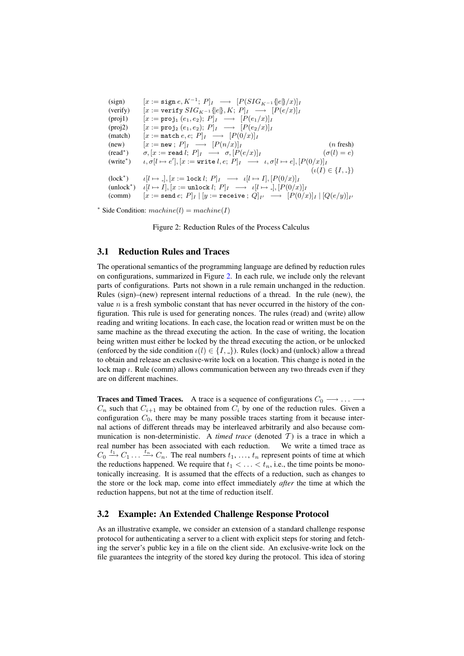(sign) [x := sign e, K<sup>−</sup><sup>1</sup> ; P]<sup>I</sup> −→ [P(SIGK−<sup>1</sup> {|e|}/x)]<sup>I</sup> (verify) [x := verify SIGK−<sup>1</sup> {|e|}, K; P]<sup>I</sup> −→ [P(e/x)]<sup>I</sup> (proj1) [x := proj<sup>1</sup> (e1, e2); P]<sup>I</sup> −→ [P(e1/x)]<sup>I</sup> (proj2) [x := proj<sup>2</sup> (e1, e2); P]<sup>I</sup> −→ [P(e2/x)]<sup>I</sup> (match) [x := match e, e; P]<sup>I</sup> −→ [P(0/x)]<sup>I</sup> (new) [x := new ; P]<sup>I</sup> −→ [P(n/x)]<sup>I</sup> (n fresh) (read<sup>∗</sup> ) σ, [x := read l; P]<sup>I</sup> −→ σ, [P(e/x)]<sup>I</sup> (σ(l) = e) (write<sup>∗</sup> ) ι, σ[l 7→ e 0 ], [x := write l, e; P]<sup>I</sup> −→ ι, σ[l 7→ e], [P(0/x)]<sup>I</sup> (ι(I) ∈ {I, }) (lock<sup>∗</sup> ) ι[l 7→ ], [x := lock l; P]<sup>I</sup> −→ ι[l 7→ I], [P(0/x)]<sup>I</sup> (unlock<sup>∗</sup> ) ι[l 7→ I], [x := unlock l; P]<sup>I</sup> −→ ι[l 7→ ], [P(0/x)]<sup>I</sup> (comm) [x := send e; P]<sup>I</sup> | [y := receive ; Q]<sup>I</sup> <sup>0</sup> −→ [P(0/x)]<sup>I</sup> | [Q(e/y)]<sup>I</sup> 0

\* Side Condition:  $machine(l) = machine(I)$ 

<span id="page-6-0"></span>Figure 2: Reduction Rules of the Process Calculus

## 3.1 Reduction Rules and Traces

The operational semantics of the programming language are defined by reduction rules on configurations, summarized in Figure [2.](#page-6-0) In each rule, we include only the relevant parts of configurations. Parts not shown in a rule remain unchanged in the reduction. Rules (sign)–(new) represent internal reductions of a thread. In the rule (new), the value  $n$  is a fresh symbolic constant that has never occurred in the history of the configuration. This rule is used for generating nonces. The rules (read) and (write) allow reading and writing locations. In each case, the location read or written must be on the same machine as the thread executing the action. In the case of writing, the location being written must either be locked by the thread executing the action, or be unlocked (enforced by the side condition  $\iota(l) \in \{I, \_\}$ ). Rules (lock) and (unlock) allow a thread to obtain and release an exclusive-write lock on a location. This change is noted in the lock map  $\iota$ . Rule (comm) allows communication between any two threads even if they are on different machines.

**Traces and Timed Traces.** A trace is a sequence of configurations  $C_0 \longrightarrow \ldots \longrightarrow$  $C_n$  such that  $C_{i+1}$  may be obtained from  $C_i$  by one of the reduction rules. Given a configuration  $C_0$ , there may be many possible traces starting from it because internal actions of different threads may be interleaved arbitrarily and also because communication is non-deterministic. A *timed trace* (denoted  $T$ ) is a trace in which a real number has been associated with each reduction. We write a timed trace as  $C_0 \stackrel{t_1}{\longrightarrow} C_1 \ldots \stackrel{t_n}{\longrightarrow} C_n$ . The real numbers  $t_1, \ldots, t_n$  represent points of time at which the reductions happened. We require that  $t_1 < \ldots < t_n$ , i.e., the time points be monotonically increasing. It is assumed that the effects of a reduction, such as changes to the store or the lock map, come into effect immediately *after* the time at which the reduction happens, but not at the time of reduction itself.

### <span id="page-6-1"></span>3.2 Example: An Extended Challenge Response Protocol

As an illustrative example, we consider an extension of a standard challenge response protocol for authenticating a server to a client with explicit steps for storing and fetching the server's public key in a file on the client side. An exclusive-write lock on the file guarantees the integrity of the stored key during the protocol. This idea of storing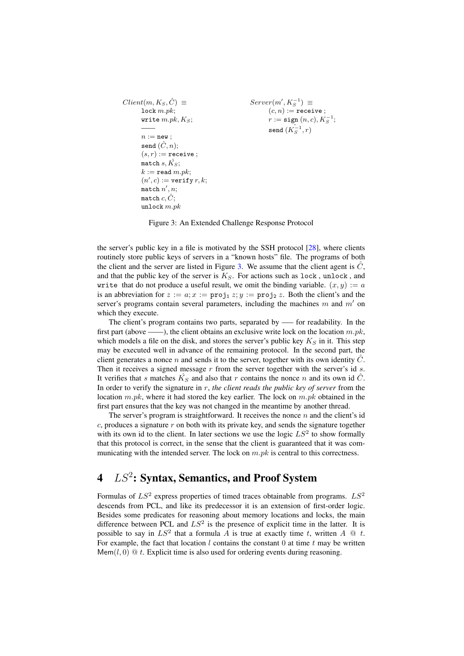```
Client(m, K_S, \hat{C}) \equivlock m.pk;
        write m.pk, K_S;
        ——
        n := new;send (\hat{C}, n);
        (s, r) := receive;
        match s, K_S;
        k := \texttt{read } m.pk;(n', c) := \text{verify } r, k;\mathtt{match}~n',n;match c, \hat{C};
        unlock m.pkServer(m', K_S^{-1}) \equivS(n,m) := \texttt{receive};r := \texttt{sign}\left(n, c\right), K_S^{-1};send (\hat{K_S^{-1}}, r)
```
<span id="page-7-1"></span>Figure 3: An Extended Challenge Response Protocol

the server's public key in a file is motivated by the SSH protocol [\[28\]](#page-16-10), where clients routinely store public keys of servers in a "known hosts" file. The programs of both the client and the server are listed in Figure [3.](#page-7-1) We assume that the client agent is  $\tilde{C}$ . and that the public key of the server is  $K_S$ . For actions such as lock, unlock, and write that do not produce a useful result, we omit the binding variable.  $(x, y) := a$ is an abbreviation for  $z := a$ ;  $x := \text{proj}_1 z$ ;  $y := \text{proj}_2 z$ . Both the client's and the server's programs contain several parameters, including the machines m and  $m'$  on which they execute.

The client's program contains two parts, separated by —– for readability. In the first part (above ——), the client obtains an exclusive write lock on the location  $m.pk$ , which models a file on the disk, and stores the server's public key  $K_S$  in it. This step may be executed well in advance of the remaining protocol. In the second part, the client generates a nonce  $n$  and sends it to the server, together with its own identity  $C$ . Then it receives a signed message  $r$  from the server together with the server's id  $s$ . It verifies that s matches  $\hat{K_S}$  and also that r contains the nonce n and its own id  $\hat{C}$ . In order to verify the signature in r, *the client reads the public key of server* from the location  $m.pk$ , where it had stored the key earlier. The lock on  $m.pk$  obtained in the first part ensures that the key was not changed in the meantime by another thread.

The server's program is straightforward. It receives the nonce  $n$  and the client's id  $c$ , produces a signature  $r$  on both with its private key, and sends the signature together with its own id to the client. In later sections we use the logic  $LS^2$  to show formally that this protocol is correct, in the sense that the client is guaranteed that it was communicating with the intended server. The lock on  $m.pk$  is central to this correctness.

# <span id="page-7-0"></span> $4\quad LS^2$ : Syntax, Semantics, and Proof System

Formulas of  $LS^2$  express properties of timed traces obtainable from programs.  $LS^2$ descends from PCL, and like its predecessor it is an extension of first-order logic. Besides some predicates for reasoning about memory locations and locks, the main difference between PCL and  $LS^2$  is the presence of explicit time in the latter. It is possible to say in  $LS^2$  that a formula A is true at exactly time t, written A  $\mathcal Q$  t. For example, the fact that location  $l$  contains the constant  $0$  at time  $t$  may be written Mem(l, 0) @ t. Explicit time is also used for ordering events during reasoning.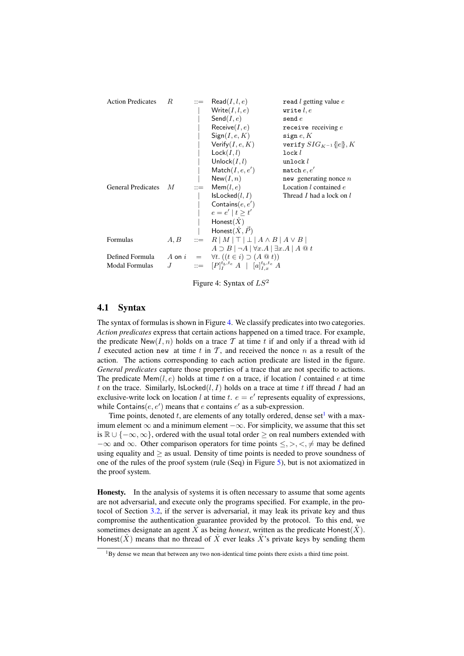| <b>Action Predicates</b>  | R | $\mathrel{\mathop:}=$ | $\mathsf{Read}(I, l, e)$                                                       | read $l$ getting value $e$ |  |
|---------------------------|---|-----------------------|--------------------------------------------------------------------------------|----------------------------|--|
|                           |   |                       | Write $(I, l, e)$                                                              | write $l, e$               |  |
|                           |   |                       | Send $(I, e)$                                                                  | $\texttt{send} \, e$       |  |
|                           |   |                       | Receive $(I, e)$                                                               | receive receiving $e$      |  |
|                           |   |                       | Sign(I, e, K)                                                                  | sign $e, K$                |  |
|                           |   |                       | Verify $(I, e, K)$                                                             | verify $SIG_{K-1}\{e\}, K$ |  |
|                           |   |                       | Lock(I, l)                                                                     | lock <i>l</i>              |  |
|                           |   |                       | Unlock $(I, l)$                                                                | unlock $l$                 |  |
|                           |   |                       | $\mathsf{Match}(I, e, e')$                                                     | match $e, e'$              |  |
|                           |   |                       | New(I, n)                                                                      | new generating nonce $n$   |  |
| <b>General Predicates</b> | М | $\mathrel{\mathop:}=$ | Mem(l, e)                                                                      | Location l contained e     |  |
|                           |   |                       | IsLocked(l, I)                                                                 | Thread I had a lock on l   |  |
|                           |   |                       | Contains $(e, e')$                                                             |                            |  |
|                           |   |                       | $e = e'   t > t'$                                                              |                            |  |
|                           |   |                       | Honest $(\hat{X})$                                                             |                            |  |
|                           |   |                       | Honest $(\hat{X}, \vec{P})$                                                    |                            |  |
| Formulas                  |   |                       | $A, B$ ::= $R  M  \top   \bot   A \wedge B   A \vee B  $                       |                            |  |
|                           |   |                       | $A \supset B \mid \neg A \mid \forall x.A \mid \exists x.A \mid A \subseteq t$ |                            |  |
| Defined Formula           |   |                       | A on $i = \forall t. ((t \in i) \supset (A \otimes t))$                        |                            |  |
| <b>Modal Formulas</b>     | J |                       | $ ::= [P]_I^{t_b, t_e} A [a]_{I, x}^{t_b, t_e} A$                              |                            |  |

<span id="page-8-0"></span>Figure 4: Syntax of  $LS^2$ 

#### 4.1 Syntax

The syntax of formulas is shown in Figure [4.](#page-8-0) We classify predicates into two categories. *Action predicates* express that certain actions happened on a timed trace. For example, the predicate  $New(I, n)$  holds on a trace T at time t if and only if a thread with id I executed action new at time t in  $T$ , and received the nonce n as a result of the action. The actions corresponding to each action predicate are listed in the figure. *General predicates* capture those properties of a trace that are not specific to actions. The predicate  $Mem(l, e)$  holds at time t on a trace, if location l contained e at time t on the trace. Similarly,  $\textsf{lsLocked}(l, I)$  holds on a trace at time t iff thread I had an exclusive-write lock on location l at time t.  $e = e'$  represents equality of expressions, while Contains(e, e') means that e contains  $e'$  as a sub-expression.

Time points, denoted t, are elements of any totally ordered, dense set<sup>[1](#page-8-1)</sup> with a maximum element  $\infty$  and a minimum element  $-\infty$ . For simplicity, we assume that this set is  $\mathbb{R} \cup \{-\infty, \infty\}$ , ordered with the usual total order ≥ on real numbers extended with  $-\infty$  and  $\infty$ . Other comparison operators for time points  $\leq,>,<,\neq$  may be defined using equality and  $\geq$  as usual. Density of time points is needed to prove soundness of one of the rules of the proof system (rule (Seq) in Figure [5\)](#page-12-0), but is not axiomatized in the proof system.

Honesty. In the analysis of systems it is often necessary to assume that some agents are not adversarial, and execute only the programs specified. For example, in the protocol of Section [3.2,](#page-6-1) if the server is adversarial, it may leak its private key and thus compromise the authentication guarantee provided by the protocol. To this end, we sometimes designate an agent  $\hat{X}$  as being *honest*, written as the predicate Honest( $\hat{X}$ ). Honest( $\hat{X}$ ) means that no thread of  $\hat{X}$  ever leaks  $\hat{X}$ 's private keys by sending them

<span id="page-8-1"></span><sup>&</sup>lt;sup>1</sup>By dense we mean that between any two non-identical time points there exists a third time point.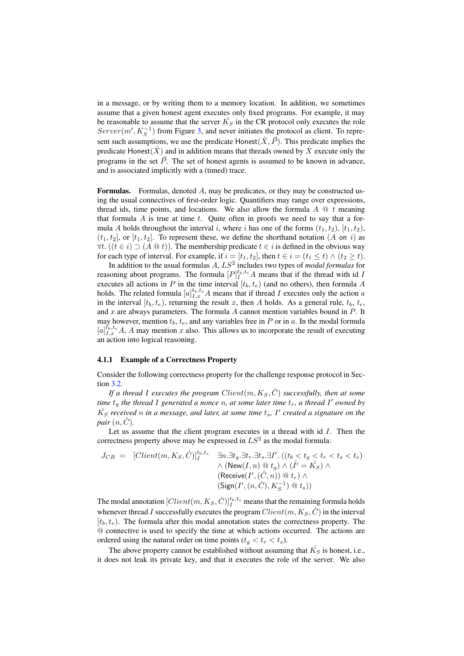in a message, or by writing them to a memory location. In addition, we sometimes assume that a given honest agent executes only fixed programs. For example, it may be reasonable to assume that the server  $\hat{K_S}$  in the CR protocol only executes the role  $Server(m', K_S^{-1})$  from Figure [3,](#page-7-1) and never initiates the protocol as client. To represent such assumptions, we use the predicate Honest $(\hat{X}, \vec{P})$ . This predicate implies the predicate Honest( $\hat{X}$ ) and in addition means that threads owned by  $\hat{X}$  execute only the programs in the set  $\vec{P}$ . The set of honest agents is assumed to be known in advance, and is associated implicitly with a (timed) trace.

**Formulas.** Formulas, denoted  $A$ , may be predicates, or they may be constructed using the usual connectives of first-order logic. Quantifiers may range over expressions, thread ids, time points, and locations. We also allow the formula  $A \mathcal{Q} t$  meaning that formula  $A$  is true at time  $t$ . Quite often in proofs we need to say that a formula A holds throughout the interval i, where i has one of the forms  $(t_1, t_2)$ ,  $[t_1, t_2)$ ,  $(t_1, t_2]$ , or  $[t_1, t_2]$ . To represent these, we define the shorthand notation  $(A \text{ on } i)$  as  $\forall t. ((t \in i) ⊇ (A @ t)).$  The membership predicate  $t \in i$  is defined in the obvious way for each type of interval. For example, if  $i = [t_1, t_2]$ , then  $t \in i = (t_1 \le t) \wedge (t_2 \ge t)$ .

In addition to the usual formulas A, LS<sup>2</sup> includes two types of *modal formulas* for reasoning about programs. The formula  $[P]_I^{t_b,t_e}A$  means that if the thread with id I executes all actions in P in the time interval  $[t_b, t_e)$  (and no others), then formula A holds. The related formula  $[a]_{I,x}^{t_b,t_e}A$  means that if thread I executes only the action a in the interval  $[t_b, t_e)$ , returning the result x, then A holds. As a general rule,  $t_b, t_e$ , and  $x$  are always parameters. The formula  $A$  cannot mention variables bound in  $P$ . It may however, mention  $t<sub>b</sub>, t<sub>e</sub>$ , and any variables free in P or in a. In the modal formula  $[a]_{I,x}^{t_b,t_e}$  A, A may mention x also. This allows us to incorporate the result of executing an action into logical reasoning.

#### <span id="page-9-0"></span>4.1.1 Example of a Correctness Property

Consider the following correctness property for the challenge response protocol in Section [3.2.](#page-6-1)

*If a thread I executes the program*  $Client(m, K_S, \hat{C})$  *successfully, then at some time*  $t<sub>g</sub>$  *the thread* I generated a nonce n, at some later time  $t<sub>r</sub>$ , a thread I' owned by  $\hat{K_S}$  received n in a message, and later, at some time  $t_s$ , I' created a signature on the *pair*  $(n, \hat{C})$ .

Let us assume that the client program executes in a thread with  $id I$ . Then the correctness property above may be expressed in  $LS^2$  as the modal formula:

$$
J_{CR} = [Client(m, K_S, \hat{C})]_I^{t_b, t_e} \quad \exists n. \exists t_g. \exists t_r. \exists t_s. \exists I'. \left( (t_b < t_g < t_r < t_s < t_e) \right. \\ \land \left( \text{New}(I, n) \, @ \, t_g \right) \land \left( \hat{I'} = \hat{K_S} \right) \land \\ \left( \text{Receive}(I', (\hat{C}, n)) \, @ \, t_r \right) \land \\ \left( \text{Sign}(I', (n, \hat{C}), K_S^{-1}) \, @ \, t_s \right) \right)
$$

The modal annotation  $[Client(m,K_S, \hat{C})]_I^{t_b,t_e}$  means that the remaining formula holds whenever thread I successfully executes the program  $Client(m, K_S, \hat{C})$  in the interval  $[t_b, t_e]$ . The formula after this modal annotation states the correctness property. The @ connective is used to specify the time at which actions occurred. The actions are ordered using the natural order on time points  $(t_g < t_r < t_s)$ .

The above property cannot be established without assuming that  $\hat{K_S}$  is honest, i.e., it does not leak its private key, and that it executes the role of the server. We also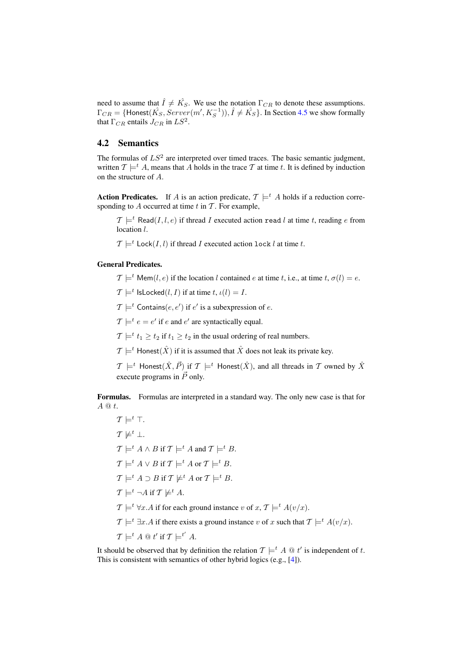need to assume that  $\hat{I} \neq \hat{K_S}$ . We use the notation  $\Gamma_{CR}$  to denote these assumptions.  $\Gamma_{CR} = \{ \text{Honest}(\hat{K_S}, Server(m', K_S^{-1})), \hat{I} \neq \hat{K_S} \}.$  In Section [4.5](#page-14-1) we show formally that  $\Gamma_{CR}$  entails  $J_{CR}$  in  $LS^2$ .

## 4.2 Semantics

The formulas of  $LS^2$  are interpreted over timed traces. The basic semantic judgment, written  $\mathcal{T} \models^t A$ , means that A holds in the trace T at time t. It is defined by induction on the structure of A.

**Action Predicates.** If A is an action predicate,  $\mathcal{T} \models^t A$  holds if a reduction corresponding to  $A$  occurred at time  $t$  in  $T$ . For example,

 $\mathcal{T} \models^t \text{Read}(I, l, e)$  if thread I executed action read l at time t, reading e from location *l*.

 $\mathcal{T} \models^t \text{Lock}(I, l)$  if thread I executed action lock l at time t.

#### General Predicates.

 $\mathcal{T} \models^t \text{Mem}(l, e)$  if the location l contained e at time t, i.e., at time t,  $\sigma(l) = e$ .

 $\mathcal{T} \models^t \textsf{IsLocked}(l, I) \text{ if at time } t, \iota(l) = I.$ 

 $\mathcal{T} \models^t \mathsf{contains}(e, e')$  if  $e'$  is a subexpression of  $e$ .

 $\mathcal{T} \models^t e = e'$  if e and  $e'$  are syntactically equal.

 $\mathcal{T} \models^t t_1 \geq t_2$  if  $t_1 \geq t_2$  in the usual ordering of real numbers.

 $\mathcal{T} \models^t$  Honest $(\hat{X})$  if it is assumed that  $\hat{X}$  does not leak its private key.

 $\mathcal{T} \models^t$  Honest $(\hat{X}, \vec{P})$  if  $\mathcal{T} \models^t$  Honest $(\hat{X})$ , and all threads in  $\mathcal T$  owned by  $\hat{X}$ execute programs in  $\vec{P}$  only.

Formulas. Formulas are interpreted in a standard way. The only new case is that for  $A \t@ t.$ 

 $\mathcal{T} \models^t \top$ .  $\mathcal{T} \not\models^t \bot$ .  $\mathcal{T} \models^t A \wedge B$  if  $\mathcal{T} \models^t A$  and  $\mathcal{T} \models^t B$ .  $\mathcal{T} \models^t A \vee B$  if  $\mathcal{T} \models^t A$  or  $\mathcal{T} \models^t B$ .  $\mathcal{T} \models^t A \supset B$  if  $\mathcal{T} \not\models^t A$  or  $\mathcal{T} \models^t B$ .  $\mathcal{T} \models^t \neg A \text{ if } \mathcal{T} \not\models^t A.$  $\mathcal{T} \models^t \forall x \, A$  if for each ground instance v of  $x, \mathcal{T} \models^t A(v/x)$ .  $\mathcal{T} \models^t \exists x.A$  if there exists a ground instance v of x such that  $\mathcal{T} \models^t A(v/x).$  $\mathcal{T} \models^t A \mathrel{@} t' \text{ if } \mathcal{T} \models^{t'} A.$ 

It should be observed that by definition the relation  $\mathcal{T} \models^t A \mathfrak{0} t'$  is independent of t. This is consistent with semantics of other hybrid logics (e.g., [\[4\]](#page-15-7)).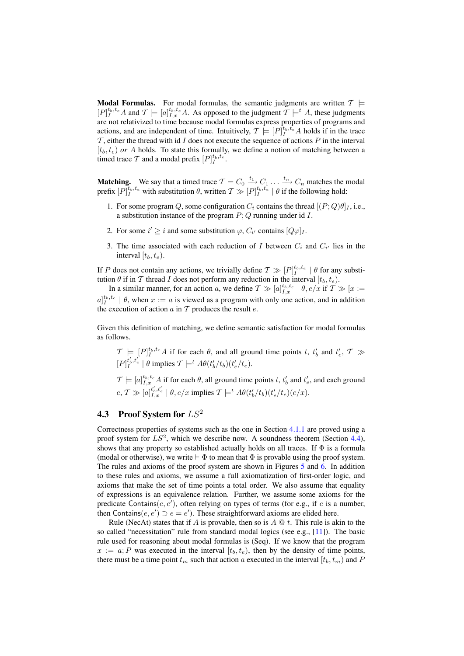**Modal Formulas.** For modal formulas, the semantic judgments are written  $T \models$  $[P]_I^{t_b,t_e}A$  and  $T \models [a]_{I,x}^{t_b,t_e}A$ . As opposed to the judgment  $\mathcal{T} \models^t A$ , these judgments are not relativized to time because modal formulas express properties of programs and actions, and are independent of time. Intuitively,  $\mathcal{T} \models [P]_I^{\tilde{t}_b, t_e} A$  holds if in the trace  $\mathcal T$ , either the thread with id  $I$  does not execute the sequence of actions  $P$  in the interval  $[t_b, t_e]$  *or A* holds. To state this formally, we define a notion of matching between a timed trace T and a modal prefix  $[P]_I^{t_b, t_e}$ .

**Matching.** We say that a timed trace  $\mathcal{T} = C_0 \xrightarrow{t_1} C_1 \dots \xrightarrow{t_n} C_n$  matches the modal prefix  $[P]_I^{t_b,t_e}$  with substitution  $\theta$ , written  $\mathcal{T} \gg [P]_I^{t_b,t_e} \mid \theta$  if the following hold:

- 1. For some program Q, some configuration  $C_i$  contains the thread  $[(P; Q)\theta]_I$ , i.e., a substitution instance of the program  $P$ ; Q running under id I.
- 2. For some  $i' \geq i$  and some substitution  $\varphi$ ,  $C_{i'}$  contains  $[Q\varphi]_I$ .
- 3. The time associated with each reduction of I between  $C_i$  and  $C_{i'}$  lies in the interval  $[t_b, t_e)$ .

If P does not contain any actions, we trivially define  $\mathcal{T} \gg [P]_I^{t_b, t_e} \mid \theta$  for any substitution  $\theta$  if in  $\mathcal T$  thread  $I$  does not perform any reduction in the interval  $[t_b, t_e)$ .

In a similar manner, for an action a, we define  $T \gg [a]_{I,x}^{t_b,t_e} \mid \theta, e/x$  if  $T \gg [x :=$  $a|_{I}^{t_b,t_e}$  |  $\theta$ , when  $x := a$  is viewed as a program with only one action, and in addition the execution of action  $a$  in  $T$  produces the result  $e$ .

Given this definition of matching, we define semantic satisfaction for modal formulas as follows.

 $\mathcal{T} \models [P]_I^{t_b, t_e} A$  if for each  $\theta$ , and all ground time points t,  $t'_b$  and  $t'_e$ ,  $\mathcal{T} \gg$  $[P]_I^{t'_b, t'_e} | \theta \text{ implies } \mathcal{T} \models^t A\theta(t'_b/t_b)(t'_e/t_e).$ 

 $\mathcal{T} \models [a]_{I,x}^{t_b,t_e} A$  if for each  $\theta$ , all ground time points  $t, t'_b$  and  $t'_e$ , and each ground  $e, \mathcal{T} \gg [a]_{I,x}^{t'_b,t'_e} \mid \theta, e/x \text{ implies } \mathcal{T} \models^t A \theta(t'_b/t_b)(t'_e/t_e)(e/x).$ 

## **4.3** Proof System for  $LS^2$

Correctness properties of systems such as the one in Section [4.1.1](#page-9-0) are proved using a proof system for  $LS^2$ , which we describe now. A soundness theorem (Section [4.4\)](#page-13-0), shows that any property so established actually holds on all traces. If  $\Phi$  is a formula (modal or otherwise), we write  $\vdash \Phi$  to mean that  $\Phi$  is provable using the proof system. The rules and axioms of the proof system are shown in Figures [5](#page-12-0) and [6.](#page-13-1) In addition to these rules and axioms, we assume a full axiomatization of first-order logic, and axioms that make the set of time points a total order. We also assume that equality of expressions is an equivalence relation. Further, we assume some axioms for the predicate Contains( $e, e'$ ), often relying on types of terms (for e.g., if e is a number, then Contains $(e, e') \supset e = e'$ ). These straightforward axioms are elided here.

Rule (NecAt) states that if A is provable, then so is  $A \mathcal{Q} t$ . This rule is akin to the so called "necessitation" rule from standard modal logics (see e.g., [\[11\]](#page-15-12)). The basic rule used for reasoning about modal formulas is (Seq). If we know that the program  $x := a$ ; P was executed in the interval  $[t_b, t_e)$ , then by the density of time points, there must be a time point  $t_m$  such that action a executed in the interval  $[t_b, t_m]$  and P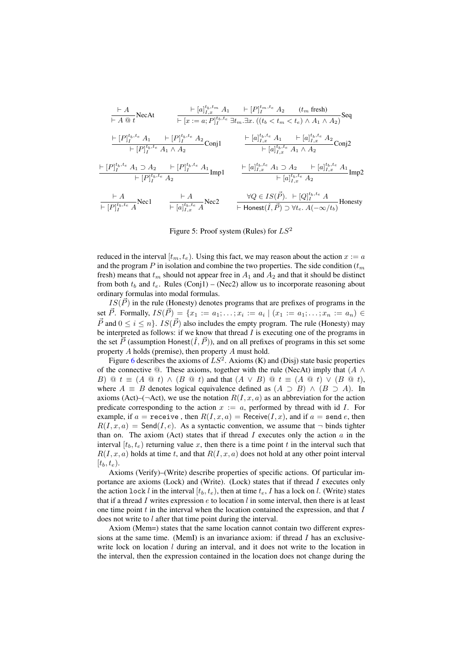$$
\frac{\vdash A}{\vdash A \text{ @ } t} \text{NecAt} \qquad \frac{\vdash [a]_{I,x}^{t_b, t_m} A_1 \quad \vdash [P]_{I}^{t_m, t_e} A_2 \quad (t_m \text{ fresh})}{\vdash [x := a; P]_{I}^{t_b, t_e} \exists t_m. \exists x. ((t_b < t_m < t_e) \land A_1 \land A_2)} \text{Seq}
$$
\n
$$
\frac{\vdash [P]_{I}^{t_b, t_e} A_1 \quad \vdash [P]_{I}^{t_b, t_e} A_2}{\vdash [P]_{I}^{t_b, t_e} A_1 \land A_2} \text{Conj1} \qquad \frac{\vdash [a]_{I,x}^{t_b, t_e} A_1 \quad \vdash [a]_{I,x}^{t_b, t_e} A_2}{\vdash [a]_{I,x}^{t_b, t_e} A_1 \land A_2} \text{Conj2}
$$
\n
$$
\frac{\vdash [P]_{I}^{t_b, t_e} A_1 \supset A_2 \quad \vdash [P]_{I}^{t_b, t_e} A_1}{\vdash [P]_{I}^{t_b, t_e} A_2} \text{Imp1} \qquad \frac{\vdash [a]_{I,x}^{t_b, t_e} A_1 \supset A_2 \quad \vdash [a]_{I,x}^{t_b, t_e} A_1}{\vdash [a]_{I,x}^{t_b, t_e} A_2} \text{Imp2}
$$
\n
$$
\frac{\vdash A}{\vdash [P]_{I}^{t_b, t_e} A} \text{Nec2} \qquad \frac{\forall Q \in IS(\vec{P}). \quad \vdash [Q]_{I}^{t_b, t_e} A}{\vdash \text{Honest}(\hat{I}, \vec{P}) \supset \forall t_e. A(-\infty/t_b)} \text{Honesty}
$$

<span id="page-12-0"></span>Figure 5: Proof system (Rules) for  $LS^2$ 

reduced in the interval  $[t_m, t_e)$ . Using this fact, we may reason about the action  $x := a$ and the program P in isolation and combine the two properties. The side condition  $(t_m)$ fresh) means that  $t_m$  should not appear free in  $A_1$  and  $A_2$  and that it should be distinct from both  $t_b$  and  $t_e$ . Rules (Conj1) – (Nec2) allow us to incorporate reasoning about ordinary formulas into modal formulas.

 $IS(\vec{P})$  in the rule (Honesty) denotes programs that are prefixes of programs in the set  $\vec{P}$ . Formally,  $IS(\vec{P}) = \{x_1 := a_1; \ldots; x_i := a_i | (x_1 := a_1; \ldots; x_n := a_n) \in$  $\vec{P}$  and  $0 \le i \le n$ .  $IS(\vec{P})$  also includes the empty program. The rule (Honesty) may be interpreted as follows: if we know that thread  $I$  is executing one of the programs in the set  $\vec{P}$  (assumption Honest $(\hat{I}, \vec{P})$ ), and on all prefixes of programs in this set some property A holds (premise), then property A must hold.

Figure [6](#page-13-1) describes the axioms of  $LS^2$ . Axioms (K) and (Disj) state basic properties of the connective  $@.$  These axioms, together with the rule (NecAt) imply that  $(A \wedge$ B)  $\mathbb{Q}$   $t \equiv (A \mathbb{Q} t) \wedge (B \mathbb{Q} t)$  and that  $(A \vee B) \mathbb{Q} t \equiv (A \mathbb{Q} t) \vee (B \mathbb{Q} t)$ , where  $A \equiv B$  denotes logical equivalence defined as  $(A \supset B) \wedge (B \supset A)$ . In axioms (Act)–( $\neg$ Act), we use the notation  $R(I, x, a)$  as an abbreviation for the action predicate corresponding to the action  $x := a$ , performed by thread with id I. For example, if  $a = \text{receive}$ , then  $R(I, x, a) = \text{receive}(I, x)$ , and if  $a = \text{send } e$ , then  $R(I, x, a) =$  Send $(I, e)$ . As a syntactic convention, we assume that  $\neg$  binds tighter than on. The axiom (Act) states that if thread I executes only the action  $\alpha$  in the interval  $[t_b, t_e]$  returning value x, then there is a time point t in the interval such that  $R(I, x, a)$  holds at time t, and that  $R(I, x, a)$  does not hold at any other point interval  $[t_b, t_e]$ .

Axioms (Verify)–(Write) describe properties of specific actions. Of particular importance are axioms (Lock) and (Write). (Lock) states that if thread I executes only the action lock l in the interval  $[t_b, t_e)$ , then at time  $t_e$ , I has a lock on l. (Write) states that if a thread I writes expression e to location l in some interval, then there is at least one time point  $t$  in the interval when the location contained the expression, and that  $I$ does not write to *l* after that time point during the interval.

Axiom (Mem=) states that the same location cannot contain two different expressions at the same time. (MemI) is an invariance axiom: if thread  $I$  has an exclusivewrite lock on location  $l$  during an interval, and it does not write to the location in the interval, then the expression contained in the location does not change during the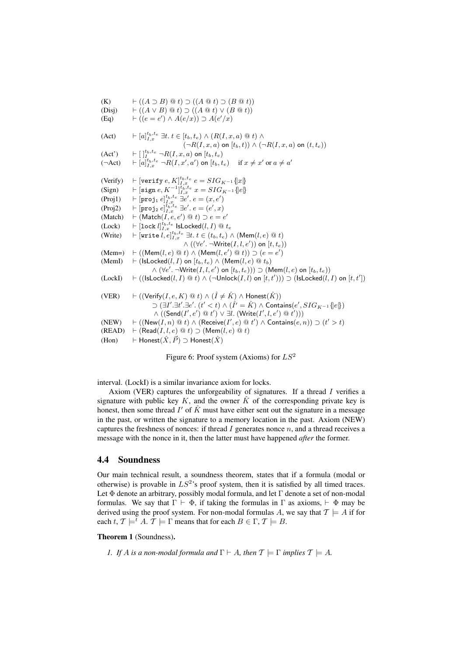(K)  $\vdash ((A \supset B) \t\t@ t) \supset ((A \t@ t) \supset (B \t@ t))$ (Disj)  $\qquad \vdash ((A \lor B) \t@ t) \supset ((A \t@ t) \lor (B \t@ t))$ (Eq)  $\qquad \vdash ((e = e') \land A(e/x)) \supset A(e'/x)$ (Act)  $\qquad \vdash [a]_{I,x}^{t_b,t_e} \exists t. \ t \in [t_b,t_e) \wedge (R(I,x,a) \ @ \ t) \wedge$  $(\neg R(I, x, a)$  on  $[t_b, t)) \wedge (\neg R(I, x, a)$  on  $(t, t_e))$ (Act')  $\qquad \qquad \vdash [\,]_{I}^{t_b, t_e} \neg R(I, x, a) \text{ on } [t_b, t_e]$ <br>  $(\neg \text{Act}) \qquad \vdash [a]_{I, x}^{t_b, t_e} \neg R(I, x', a') \text{ on } [t_b, t_e] \quad \text{if } x \neq x' \text{ or } a \neq a'$  $(\neg Act)$ (Verify)  $\vdash$  [verify  $e, K]_{I, x}^{t_b, t_e}$   $e = SIG_{K^{-1}}\{x\}$ (Sign)  $\qquad \vdash [\text{sign }e, K^{-1}]_{I,x}^{t_b,t_e} x = SIG_{K^{-1}}\{e\}$ (Proj1)  $\qquad \vdash [\texttt{proj}_1 \, e]_{I,x}^{t_b, t_e} \, \exists e'. \, e = (x, e')$ (Proj2)  $\qquad \vdash [\texttt{proj}_2 \ e]_{I,x}^{t_b,t_e} \ \exists e'. \ e = (e',x)$ (Match)  $\vdash$  (Match(I,  $e, e'$ )  $\textcircled{a} t$ )  $\supset e = e'$  ${\rm (Lock)} \quad \begin{array}{l} \vdash [\texttt{lock}\ l]_{I,x}^{t_b,t_e} \texttt{ IsLocked}(l,I) \ @ \ t_e \end{array}$ (Write)  $\qquad \vdash [\texttt{write } l, e]^{t_b, t_e}_{I, x} \exists t. t \in (t_b, t_e) \wedge (\textsf{Mem}(l, e) \ @\ t)$  $\wedge ((\forall e'.\ \neg \textsf{Write}(I,l,e')) \textsf{ on } [t, t_e))$  $(Mem=) \quad \vdash ((Mem(l, e) \otimes t) \wedge (Mem(l, e') \otimes t)) \supset (e = e')$ (MemI)  $\vdash$  (IsLocked(l, I) on  $[t_b, t_e) \wedge (Mem(l, e) \otimes t_b)$  $\wedge (\forall e'.\ \neg Write(I, l, e') \text{ on } [t_b, t_e))) \supset (\mathsf{Mem}(l, e) \text{ on } [t_b, t_e))$  $(LockI) \quad \vdash ((IsLocked(l, I) \ @t) \wedge (\neg Unlock(I, l) \text{ on } [t, t'))) \supset (IsLocked(l, I) \text{ on } [t, t'])$ (VER)  $\vdash ((\mathsf{Verify}(I, e, K) \otimes t) \wedge (\hat{I} \neq \hat{K}) \wedge \mathsf{Honest}(\hat{K}))$  $\supset$   $(\exists I' . \exists t' . \exists e' . (t' < t) \land (\hat{I'} = \hat{K}) \land$  Contains $(e', SIG_{K^{-1}}\{e\})$  $\wedge ((\mathsf{Send}(I',e') \mathbin{@} t') \vee \exists l. (Write(I',l,e') \mathbin{@} t'))$ (NEW)  $\vdash ((\mathsf{New}(I, n) \ @ \ t) \wedge (\mathsf{Receive}(I', e) \ @ \ t') \wedge \mathsf{contains}(e, n)) \supset (t' > t)$  $(READ) \vdash (Read(I, l, e) \t@ t) \supset (Mem(l, e) \t@ t)$ (Hon)  $\vdash$  Honest $(\hat{X}, \vec{P}) \supset$  Honest $(\hat{X})$ 

<span id="page-13-1"></span>Figure 6: Proof system (Axioms) for  $LS^2$ 

interval. (LockI) is a similar invariance axiom for locks.

Axiom (VER) captures the unforgeability of signatures. If a thread  $I$  verifies a signature with public key K, and the owner  $\hat{K}$  of the corresponding private key is honest, then some thread  $I'$  of  $\hat{K}$  must have either sent out the signature in a message in the past, or written the signature to a memory location in the past. Axiom (NEW) captures the freshness of nonces: if thread  $I$  generates nonce  $n$ , and a thread receives a message with the nonce in it, then the latter must have happened *after* the former.

## <span id="page-13-0"></span>4.4 Soundness

Our main technical result, a soundness theorem, states that if a formula (modal or otherwise) is provable in  $LS^2$ 's proof system, then it is satisfied by all timed traces. Let  $\Phi$  denote an arbitrary, possibly modal formula, and let  $\Gamma$  denote a set of non-modal formulas. We say that  $\Gamma \vdash \Phi$ , if taking the formulas in  $\Gamma$  as axioms,  $\vdash \Phi$  may be derived using the proof system. For non-modal formulas A, we say that  $T \models A$  if for each t,  $\mathcal{T} \models^t A$ .  $\mathcal{T} \models \Gamma$  means that for each  $B \in \Gamma$ ,  $\mathcal{T} \models B$ .

#### Theorem 1 (Soundness).

*1. If A is a non-modal formula and*  $\Gamma \vdash A$ *, then*  $\mathcal{T} \models \Gamma$  *implies*  $\mathcal{T} \models A$ *.*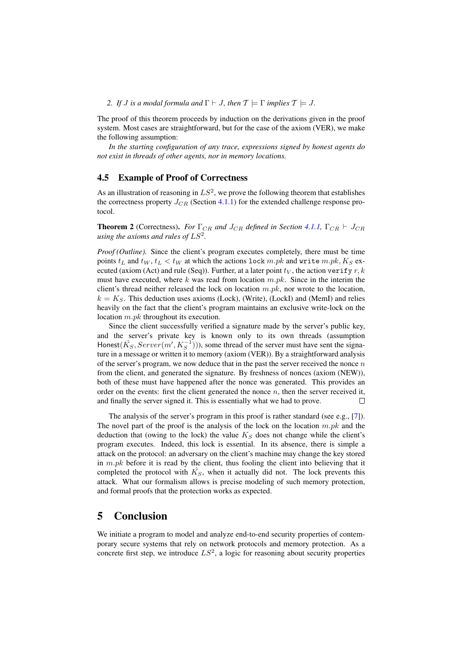#### *2. If J is a modal formula and*  $\Gamma \vdash J$ *, then*  $\mathcal{T} \models \Gamma$  *implies*  $\mathcal{T} \models J$ *.*

The proof of this theorem proceeds by induction on the derivations given in the proof system. Most cases are straightforward, but for the case of the axiom (VER), we make the following assumption:

*In the starting configuration of any trace, expressions signed by honest agents do not exist in threads of other agents, nor in memory locations.*

#### <span id="page-14-1"></span>4.5 Example of Proof of Correctness

As an illustration of reasoning in  $LS^2$ , we prove the following theorem that establishes the correctness property  $J_{CR}$  (Section [4.1.1\)](#page-9-0) for the extended challenge response protocol.

**Theorem 2** (Correctness). *For*  $\Gamma_{CR}$  *and*  $J_{CR}$  *defined in Section* [4.1.1,](#page-9-0)  $\Gamma_{CR} \vdash J_{CR}$ using the axioms and rules of  $LS^2$ .

*Proof (Outline).* Since the client's program executes completely, there must be time points  $t_L$  and  $t_W$ ,  $t_L < t_W$  at which the actions lock m.pk and write m.pk,  $K_S$  executed (axiom (Act) and rule (Seq)). Further, at a later point  $t_V$ , the action verify r, k must have executed, where k was read from location  $m.pk$ . Since in the interim the client's thread neither released the lock on location  $m.pk$ , nor wrote to the location,  $k = K<sub>S</sub>$ . This deduction uses axioms (Lock), (Write), (LockI) and (MemI) and relies heavily on the fact that the client's program maintains an exclusive write-lock on the location m.pk throughout its execution.

Since the client successfully verified a signature made by the server's public key, and the server's private key is known only to its own threads (assumption Honest( $\hat{K_S}, Server(m', K_S^{-1})),$  some thread of the server must have sent the signature in a message or written it to memory (axiom (VER)). By a straightforward analysis of the server's program, we now deduce that in the past the server received the nonce  $n$ from the client, and generated the signature. By freshness of nonces (axiom (NEW)), both of these must have happened after the nonce was generated. This provides an order on the events: first the client generated the nonce  $n$ , then the server received it, and finally the server signed it. This is essentially what we had to prove.  $\Box$ 

The analysis of the server's program in this proof is rather standard (see e.g., [\[7\]](#page-15-4)). The novel part of the proof is the analysis of the lock on the location  $m.pk$  and the deduction that (owing to the lock) the value  $K_S$  does not change while the client's program executes. Indeed, this lock is essential. In its absence, there is simple a attack on the protocol: an adversary on the client's machine may change the key stored in  $m.pk$  before it is read by the client, thus fooling the client into believing that it completed the protocol with  $\hat{K_S}$ , when it actually did not. The lock prevents this attack. What our formalism allows is precise modeling of such memory protection, and formal proofs that the protection works as expected.

## <span id="page-14-0"></span>5 Conclusion

We initiate a program to model and analyze end-to-end security properties of contemporary secure systems that rely on network protocols and memory protection. As a concrete first step, we introduce  $LS^2$ , a logic for reasoning about security properties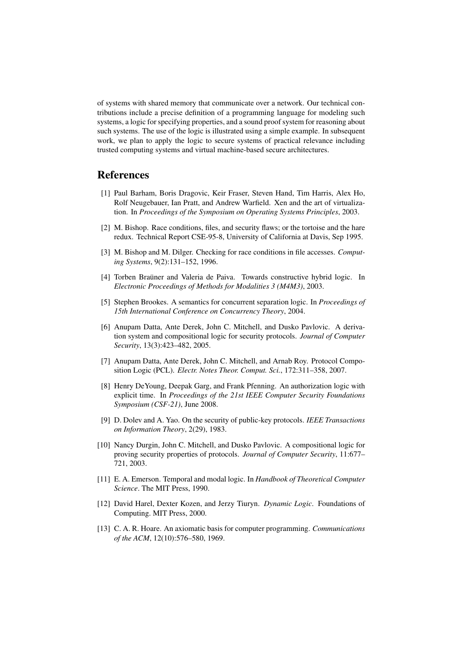of systems with shared memory that communicate over a network. Our technical contributions include a precise definition of a programming language for modeling such systems, a logic for specifying properties, and a sound proof system for reasoning about such systems. The use of the logic is illustrated using a simple example. In subsequent work, we plan to apply the logic to secure systems of practical relevance including trusted computing systems and virtual machine-based secure architectures.

# References

- <span id="page-15-0"></span>[1] Paul Barham, Boris Dragovic, Keir Fraser, Steven Hand, Tim Harris, Alex Ho, Rolf Neugebauer, Ian Pratt, and Andrew Warfield. Xen and the art of virtualization. In *Proceedings of the Symposium on Operating Systems Principles*, 2003.
- <span id="page-15-1"></span>[2] M. Bishop. Race conditions, files, and security flaws; or the tortoise and the hare redux. Technical Report CSE-95-8, University of California at Davis, Sep 1995.
- <span id="page-15-2"></span>[3] M. Bishop and M. Dilger. Checking for race conditions in file accesses. *Computing Systems*, 9(2):131–152, 1996.
- <span id="page-15-7"></span>[4] Torben Brauner and Valeria de Paiva. Towards constructive hybrid logic. In *Electronic Proceedings of Methods for Modalities 3 (M4M3)*, 2003.
- <span id="page-15-8"></span>[5] Stephen Brookes. A semantics for concurrent separation logic. In *Proceedings of 15th International Conference on Concurrency Theory*, 2004.
- <span id="page-15-3"></span>[6] Anupam Datta, Ante Derek, John C. Mitchell, and Dusko Pavlovic. A derivation system and compositional logic for security protocols. *Journal of Computer Security*, 13(3):423–482, 2005.
- <span id="page-15-4"></span>[7] Anupam Datta, Ante Derek, John C. Mitchell, and Arnab Roy. Protocol Composition Logic (PCL). *Electr. Notes Theor. Comput. Sci.*, 172:311–358, 2007.
- <span id="page-15-6"></span>[8] Henry DeYoung, Deepak Garg, and Frank Pfenning. An authorization logic with explicit time. In *Proceedings of the 21st IEEE Computer Security Foundations Symposium (CSF-21)*, June 2008.
- <span id="page-15-11"></span>[9] D. Dolev and A. Yao. On the security of public-key protocols. *IEEE Transactions on Information Theory*, 2(29), 1983.
- <span id="page-15-5"></span>[10] Nancy Durgin, John C. Mitchell, and Dusko Pavlovic. A compositional logic for proving security properties of protocols. *Journal of Computer Security*, 11:677– 721, 2003.
- <span id="page-15-12"></span>[11] E. A. Emerson. Temporal and modal logic. In *Handbook of Theoretical Computer Science*. The MIT Press, 1990.
- <span id="page-15-9"></span>[12] David Harel, Dexter Kozen, and Jerzy Tiuryn. *Dynamic Logic*. Foundations of Computing. MIT Press, 2000.
- <span id="page-15-10"></span>[13] C. A. R. Hoare. An axiomatic basis for computer programming. *Communications of the ACM*, 12(10):576–580, 1969.